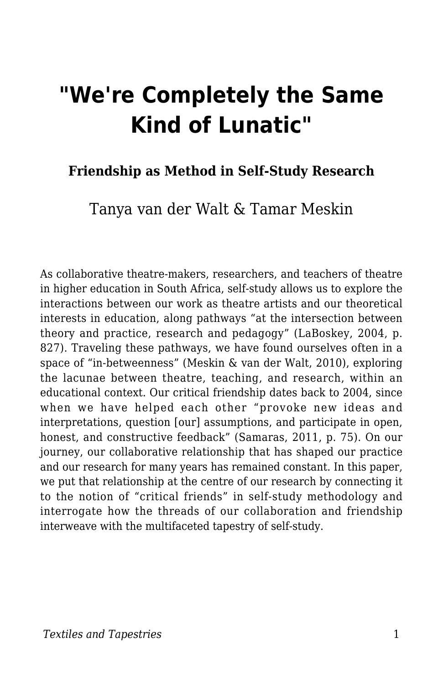# **"We're Completely the Same Kind of Lunatic"**

#### **Friendship as Method in Self-Study Research**

### Tanya van der Walt & Tamar Meskin

As collaborative theatre-makers, researchers, and teachers of theatre in higher education in South Africa, self-study allows us to explore the interactions between our work as theatre artists and our theoretical interests in education, along pathways "at the intersection between theory and practice, research and pedagogy" (LaBoskey, 2004, p. 827). Traveling these pathways, we have found ourselves often in a space of "in-betweenness" (Meskin & van der Walt, 2010), exploring the lacunae between theatre, teaching, and research, within an educational context. Our critical friendship dates back to 2004, since when we have helped each other "provoke new ideas and interpretations, question [our] assumptions, and participate in open, honest, and constructive feedback" (Samaras, 2011, p. 75). On our journey, our collaborative relationship that has shaped our practice and our research for many years has remained constant. In this paper, we put that relationship at the centre of our research by connecting it to the notion of "critical friends" in self-study methodology and interrogate how the threads of our collaboration and friendship interweave with the multifaceted tapestry of self-study.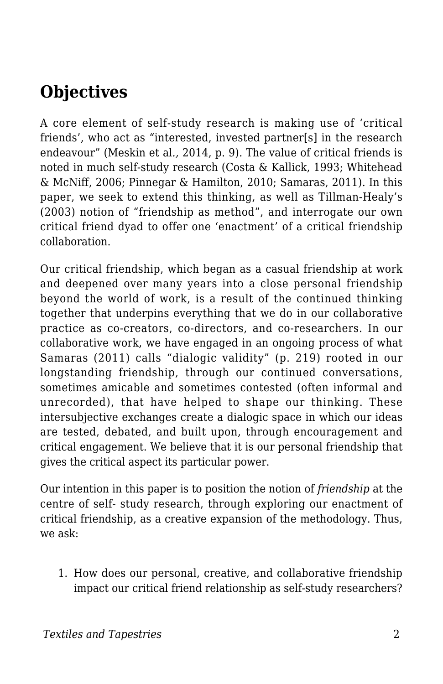## **Objectives**

A core element of self-study research is making use of 'critical friends', who act as "interested, invested partner[s] in the research endeavour" (Meskin et al*.,* 2014, p. 9). The value of critical friends is noted in much self-study research (Costa & Kallick, 1993; Whitehead & McNiff, 2006; Pinnegar & Hamilton, 2010; Samaras, 2011). In this paper, we seek to extend this thinking, as well as Tillman-Healy's (2003) notion of "friendship as method", and interrogate our own critical friend dyad to offer one 'enactment' of a critical friendship collaboration.

Our critical friendship, which began as a casual friendship at work and deepened over many years into a close personal friendship beyond the world of work, is a result of the continued thinking together that underpins everything that we do in our collaborative practice as co-creators, co-directors, and co-researchers. In our collaborative work, we have engaged in an ongoing process of what Samaras (2011) calls "dialogic validity" (p. 219) rooted in our longstanding friendship, through our continued conversations, sometimes amicable and sometimes contested (often informal and unrecorded), that have helped to shape our thinking. These intersubjective exchanges create a dialogic space in which our ideas are tested, debated, and built upon, through encouragement and critical engagement. We believe that it is our personal friendship that gives the critical aspect its particular power.

Our intention in this paper is to position the notion of *friendship* at the centre of self- study research, through exploring our enactment of critical friendship, as a creative expansion of the methodology. Thus, we ask:

1. How does our personal, creative, and collaborative friendship impact our critical friend relationship as self-study researchers?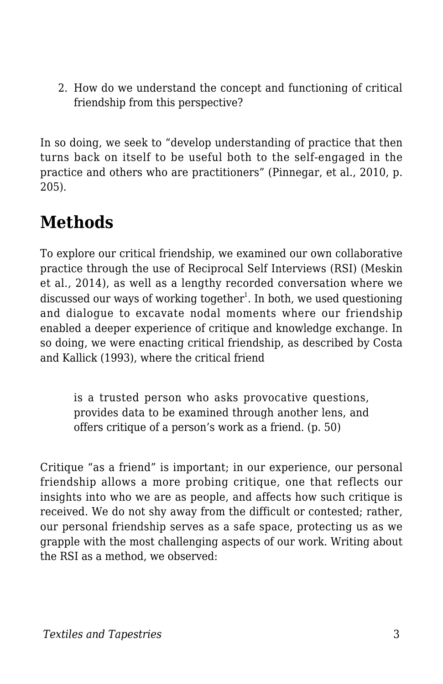2. How do we understand the concept and functioning of critical friendship from this perspective?

In so doing, we seek to "develop understanding of practice that then turns back on itself to be useful both to the self-engaged in the practice and others who are practitioners" (Pinnegar, et al., 2010, p. 205).

### **Methods**

To explore our critical friendship, we examined our own collaborative practice through the use of Reciprocal Self Interviews (RSI) (Meskin et al*.,* 2014), as well as a lengthy recorded conversation where we discussed our ways of working together $^{\rm l}$ . In both, we used questioning and dialogue to excavate nodal moments where our friendship enabled a deeper experience of critique and knowledge exchange. In so doing, we were enacting critical friendship, as described by Costa and Kallick (1993), where the critical friend

is a trusted person who asks provocative questions, provides data to be examined through another lens, and offers critique of a person's work as a friend. (p. 50)

Critique "as a friend" is important; in our experience, our personal friendship allows a more probing critique, one that reflects our insights into who we are as people, and affects how such critique is received. We do not shy away from the difficult or contested; rather, our personal friendship serves as a safe space, protecting us as we grapple with the most challenging aspects of our work. Writing about the RSI as a method, we observed: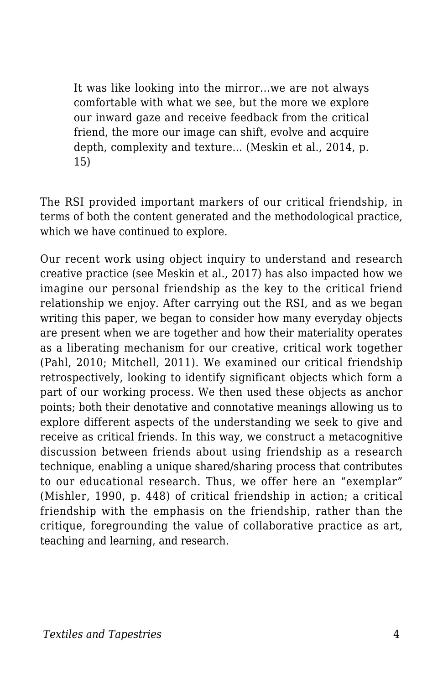It was like looking into the mirror...we are not always comfortable with what we see, but the more we explore our inward gaze and receive feedback from the critical friend, the more our image can shift, evolve and acquire depth, complexity and texture... (Meskin et al., 2014, p. 15)

The RSI provided important markers of our critical friendship, in terms of both the content generated and the methodological practice, which we have continued to explore.

Our recent work using object inquiry to understand and research creative practice (see Meskin et al., 2017) has also impacted how we imagine our personal friendship as the key to the critical friend relationship we enjoy. After carrying out the RSI, and as we began writing this paper, we began to consider how many everyday objects are present when we are together and how their materiality operates as a liberating mechanism for our creative, critical work together (Pahl, 2010; Mitchell, 2011). We examined our critical friendship retrospectively, looking to identify significant objects which form a part of our working process. We then used these objects as anchor points; both their denotative and connotative meanings allowing us to explore different aspects of the understanding we seek to give and receive as critical friends. In this way, we construct a metacognitive discussion between friends about using friendship as a research technique, enabling a unique shared/sharing process that contributes to our educational research. Thus, we offer here an "exemplar" (Mishler, 1990, p. 448) of critical friendship in action; a critical friendship with the emphasis on the friendship, rather than the critique, foregrounding the value of collaborative practice as art, teaching and learning, and research.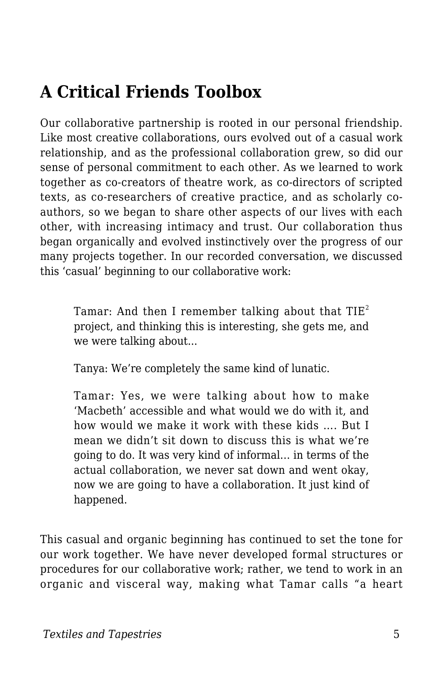## **A Critical Friends Toolbox**

Our collaborative partnership is rooted in our personal friendship. Like most creative collaborations, ours evolved out of a casual work relationship, and as the professional collaboration grew, so did our sense of personal commitment to each other. As we learned to work together as co-creators of theatre work, as co-directors of scripted texts, as co-researchers of creative practice, and as scholarly coauthors, so we began to share other aspects of our lives with each other, with increasing intimacy and trust. Our collaboration thus began organically and evolved instinctively over the progress of our many projects together. In our recorded conversation, we discussed this 'casual' beginning to our collaborative work:

Tamar: And then I remember talking about that  $\mathrm{TIE}^2$ project, and thinking this is interesting, she gets me, and we were talking about...

Tanya: We're completely the same kind of lunatic.

Tamar: Yes, we were talking about how to make 'Macbeth' accessible and what would we do with it, and how would we make it work with these kids …. But I mean we didn't sit down to discuss this is what we're going to do. It was very kind of informal… in terms of the actual collaboration, we never sat down and went okay, now we are going to have a collaboration. It just kind of happened.

This casual and organic beginning has continued to set the tone for our work together. We have never developed formal structures or procedures for our collaborative work; rather, we tend to work in an organic and visceral way, making what Tamar calls "a heart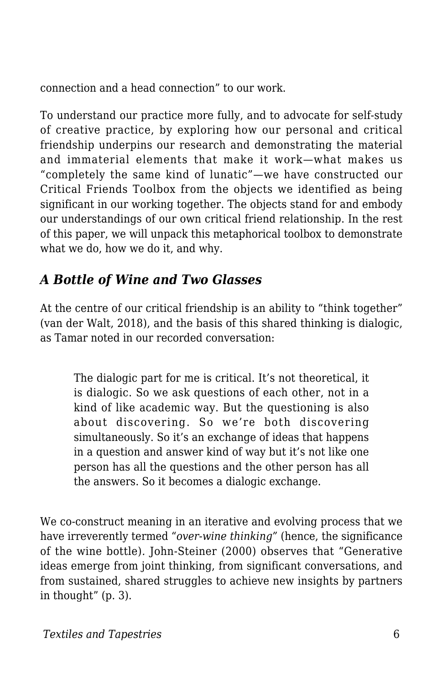connection and a head connection" to our work.

To understand our practice more fully, and to advocate for self-study of creative practice, by exploring how our personal and critical friendship underpins our research and demonstrating the material and immaterial elements that make it work—what makes us "completely the same kind of lunatic"—we have constructed our Critical Friends Toolbox from the objects we identified as being significant in our working together. The objects stand for and embody our understandings of our own critical friend relationship. In the rest of this paper, we will unpack this metaphorical toolbox to demonstrate what we do, how we do it, and why.

#### *A Bottle of Wine and Two Glasses*

At the centre of our critical friendship is an ability to "think together" (van der Walt, 2018), and the basis of this shared thinking is dialogic, as Tamar noted in our recorded conversation:

The dialogic part for me is critical. It's not theoretical, it is dialogic. So we ask questions of each other, not in a kind of like academic way. But the questioning is also about discovering. So we're both discovering simultaneously. So it's an exchange of ideas that happens in a question and answer kind of way but it's not like one person has all the questions and the other person has all the answers. So it becomes a dialogic exchange.

We co-construct meaning in an iterative and evolving process that we have irreverently termed "*over-wine thinking"* (hence, the significance of the wine bottle)*.* John-Steiner (2000) observes that "Generative ideas emerge from joint thinking, from significant conversations, and from sustained, shared struggles to achieve new insights by partners in thought" (p. 3).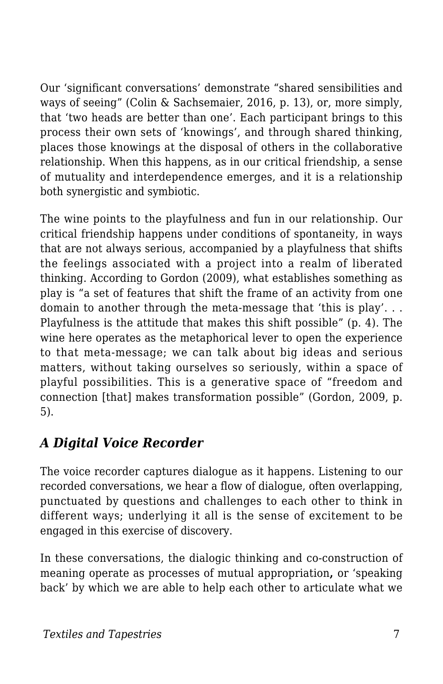Our 'significant conversations' demonstrate "shared sensibilities and ways of seeing" (Colin & Sachsemaier, 2016, p. 13), or, more simply, that 'two heads are better than one'. Each participant brings to this process their own sets of 'knowings', and through shared thinking, places those knowings at the disposal of others in the collaborative relationship. When this happens, as in our critical friendship, a sense of mutuality and interdependence emerges, and it is a relationship both synergistic and symbiotic.

The wine points to the playfulness and fun in our relationship. Our critical friendship happens under conditions of spontaneity, in ways that are not always serious, accompanied by a playfulness that shifts the feelings associated with a project into a realm of liberated thinking. According to Gordon (2009), what establishes something as play is "a set of features that shift the frame of an activity from one domain to another through the meta-message that 'this is play'. . . Playfulness is the attitude that makes this shift possible" (p. 4). The wine here operates as the metaphorical lever to open the experience to that meta-message; we can talk about big ideas and serious matters, without taking ourselves so seriously, within a space of playful possibilities. This is a generative space of "freedom and connection [that] makes transformation possible" (Gordon, 2009, p. 5).

### *A Digital Voice Recorder*

The voice recorder captures dialogue as it happens. Listening to our recorded conversations, we hear a flow of dialogue, often overlapping, punctuated by questions and challenges to each other to think in different ways; underlying it all is the sense of excitement to be engaged in this exercise of discovery.

In these conversations, the dialogic thinking and co-construction of meaning operate as processes of mutual appropriation**,** or 'speaking back' by which we are able to help each other to articulate what we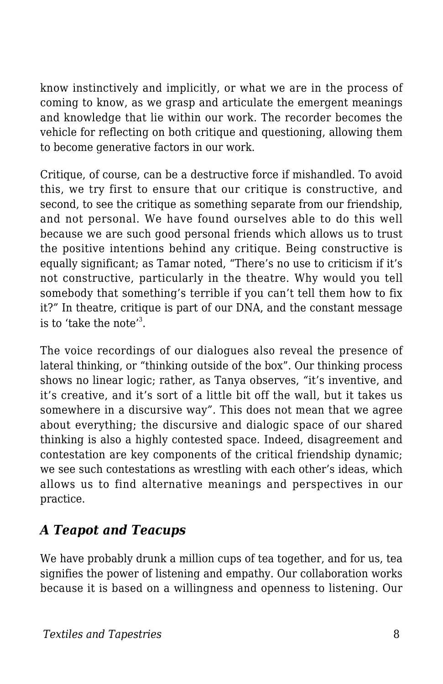know instinctively and implicitly, or what we are in the process of coming to know, as we grasp and articulate the emergent meanings and knowledge that lie within our work. The recorder becomes the vehicle for reflecting on both critique and questioning, allowing them to become generative factors in our work.

Critique, of course, can be a destructive force if mishandled. To avoid this, we try first to ensure that our critique is constructive, and second, to see the critique as something separate from our friendship, and not personal. We have found ourselves able to do this well because we are such good personal friends which allows us to trust the positive intentions behind any critique. Being constructive is equally significant; as Tamar noted, "There's no use to criticism if it's not constructive, particularly in the theatre. Why would you tell somebody that something's terrible if you can't tell them how to fix it?*"* In theatre, critique is part of our DNA, and the constant message is to 'take the note'<sup>3</sup>.

The voice recordings of our dialogues also reveal the presence of lateral thinking, or "thinking outside of the box". Our thinking process shows no linear logic; rather, as Tanya observes, *"*it's inventive, and it's creative, and it's sort of a little bit off the wall, but it takes us somewhere in a discursive way*".* This does not mean that we agree about everything; the discursive and dialogic space of our shared thinking is also a highly contested space. Indeed, disagreement and contestation are key components of the critical friendship dynamic; we see such contestations as wrestling with each other's ideas, which allows us to find alternative meanings and perspectives in our practice.

#### *A Teapot and Teacups*

We have probably drunk a million cups of tea together, and for us, tea signifies the power of listening and empathy. Our collaboration works because it is based on a willingness and openness to listening. Our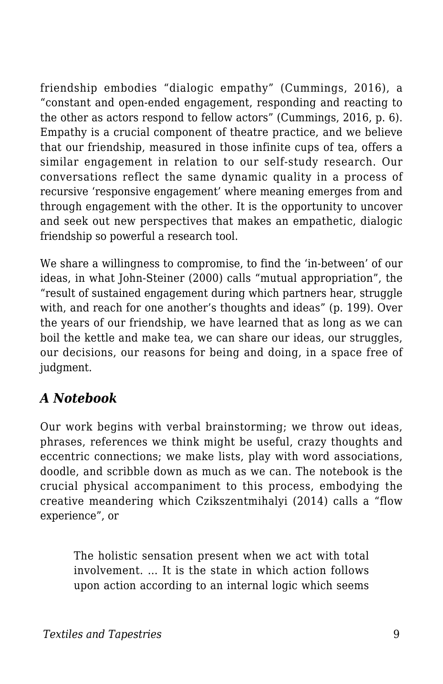friendship embodies "dialogic empathy" (Cummings, 2016), a "constant and open-ended engagement, responding and reacting to the other as actors respond to fellow actors" (Cummings, 2016, p. 6). Empathy is a crucial component of theatre practice, and we believe that our friendship, measured in those infinite cups of tea, offers a similar engagement in relation to our self-study research. Our conversations reflect the same dynamic quality in a process of recursive 'responsive engagement' where meaning emerges from and through engagement with the other. It is the opportunity to uncover and seek out new perspectives that makes an empathetic, dialogic friendship so powerful a research tool.

We share a willingness to compromise, to find the 'in-between' of our ideas, in what John-Steiner (2000) calls "mutual appropriation", the "result of sustained engagement during which partners hear, struggle with, and reach for one another's thoughts and ideas" (p. 199). Over the years of our friendship, we have learned that as long as we can boil the kettle and make tea, we can share our ideas, our struggles, our decisions, our reasons for being and doing, in a space free of judgment.

#### *A Notebook*

Our work begins with verbal brainstorming; we throw out ideas, phrases, references we think might be useful, crazy thoughts and eccentric connections; we make lists, play with word associations, doodle, and scribble down as much as we can. The notebook is the crucial physical accompaniment to this process, embodying the creative meandering which Czikszentmihalyi (2014) calls a "flow experience", or

The holistic sensation present when we act with total involvement. … It is the state in which action follows upon action according to an internal logic which seems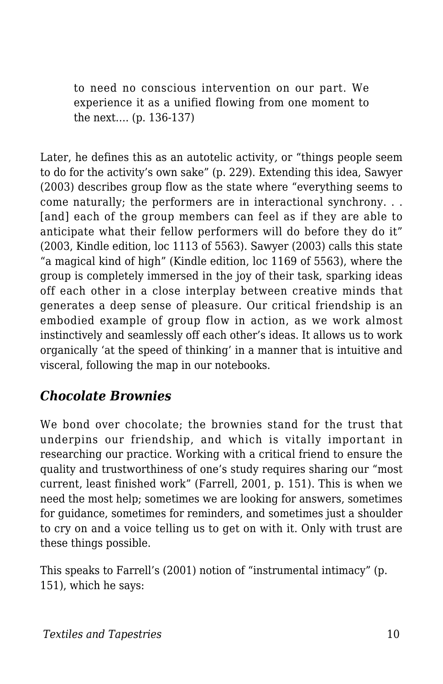to need no conscious intervention on our part. We experience it as a unified flowing from one moment to the next…. (p. 136-137)

Later, he defines this as an autotelic activity*,* or "things people seem to do for the activity's own sake" (p. 229). Extending this idea, Sawyer (2003) describes group flow as the state where "everything seems to come naturally; the performers are in interactional synchrony. . . [and] each of the group members can feel as if they are able to anticipate what their fellow performers will do before they do it" (2003, Kindle edition, loc 1113 of 5563). Sawyer (2003) calls this state "a magical kind of high" (Kindle edition, loc 1169 of 5563), where the group is completely immersed in the joy of their task, sparking ideas off each other in a close interplay between creative minds that generates a deep sense of pleasure. Our critical friendship is an embodied example of group flow in action, as we work almost instinctively and seamlessly off each other's ideas. It allows us to work organically 'at the speed of thinking' in a manner that is intuitive and visceral, following the map in our notebooks.

### *Chocolate Brownies*

We bond over chocolate; the brownies stand for the trust that underpins our friendship, and which is vitally important in researching our practice. Working with a critical friend to ensure the quality and trustworthiness of one's study requires sharing our "most current, least finished work" (Farrell, 2001, p. 151). This is when we need the most help; sometimes we are looking for answers, sometimes for guidance, sometimes for reminders, and sometimes just a shoulder to cry on and a voice telling us to get on with it. Only with trust are these things possible.

This speaks to Farrell's (2001) notion of "instrumental intimacy" (p. 151), which he says: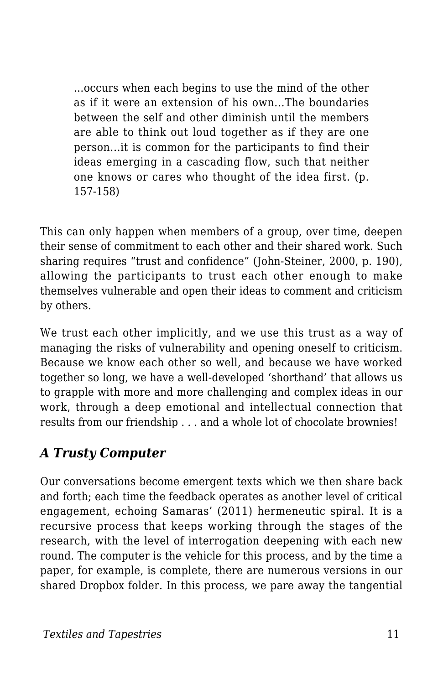...occurs when each begins to use the mind of the other as if it were an extension of his own...The boundaries between the self and other diminish until the members are able to think out loud together as if they are one person...it is common for the participants to find their ideas emerging in a cascading flow, such that neither one knows or cares who thought of the idea first. (p. 157-158)

This can only happen when members of a group, over time, deepen their sense of commitment to each other and their shared work. Such sharing requires "trust and confidence" (John-Steiner, 2000, p. 190), allowing the participants to trust each other enough to make themselves vulnerable and open their ideas to comment and criticism by others.

We trust each other implicitly, and we use this trust as a way of managing the risks of vulnerability and opening oneself to criticism. Because we know each other so well, and because we have worked together so long, we have a well-developed 'shorthand' that allows us to grapple with more and more challenging and complex ideas in our work, through a deep emotional and intellectual connection that results from our friendship . . . and a whole lot of chocolate brownies!

#### *A Trusty Computer*

Our conversations become emergent texts which we then share back and forth; each time the feedback operates as another level of critical engagement, echoing Samaras' (2011) hermeneutic spiral. It is a recursive process that keeps working through the stages of the research, with the level of interrogation deepening with each new round. The computer is the vehicle for this process, and by the time a paper, for example, is complete, there are numerous versions in our shared Dropbox folder. In this process, we pare away the tangential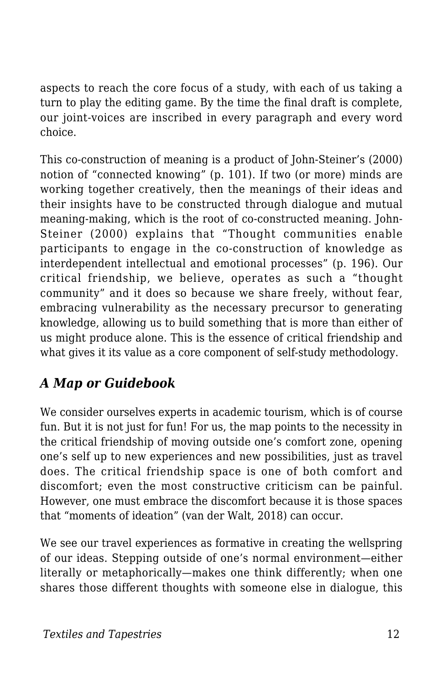aspects to reach the core focus of a study, with each of us taking a turn to play the editing game. By the time the final draft is complete, our joint-voices are inscribed in every paragraph and every word choice.

This co-construction of meaning is a product of John-Steiner's (2000) notion of "connected knowing" (p. 101). If two (or more) minds are working together creatively, then the meanings of their ideas and their insights have to be constructed through dialogue and mutual meaning-making, which is the root of co-constructed meaning. John-Steiner (2000) explains that "Thought communities enable participants to engage in the co-construction of knowledge as interdependent intellectual and emotional processes" (p. 196). Our critical friendship, we believe, operates as such a "thought community" and it does so because we share freely, without fear, embracing vulnerability as the necessary precursor to generating knowledge, allowing us to build something that is more than either of us might produce alone. This is the essence of critical friendship and what gives it its value as a core component of self-study methodology.

### *A Map or Guidebook*

We consider ourselves experts in academic tourism, which is of course fun. But it is not just for fun! For us, the map points to the necessity in the critical friendship of moving outside one's comfort zone, opening one's self up to new experiences and new possibilities, just as travel does. The critical friendship space is one of both comfort and discomfort; even the most constructive criticism can be painful. However, one must embrace the discomfort because it is those spaces that "moments of ideation" (van der Walt, 2018) can occur.

We see our travel experiences as formative in creating the wellspring of our ideas. Stepping outside of one's normal environment—either literally or metaphorically—makes one think differently; when one shares those different thoughts with someone else in dialogue, this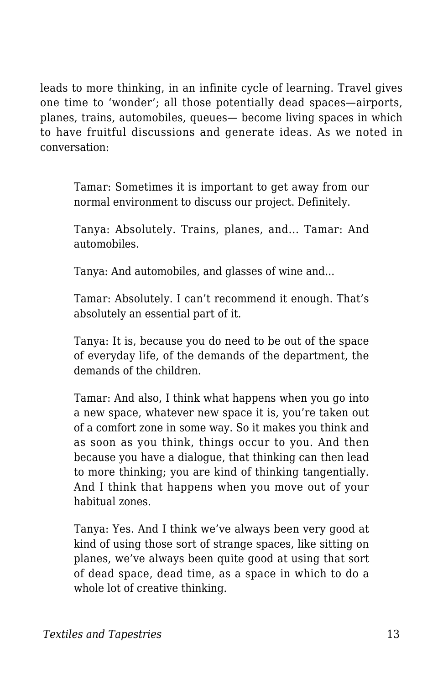leads to more thinking, in an infinite cycle of learning. Travel gives one time to 'wonder'; all those potentially dead spaces—airports, planes, trains, automobiles, queues— become living spaces in which to have fruitful discussions and generate ideas. As we noted in conversation:

Tamar: Sometimes it is important to get away from our normal environment to discuss our project. Definitely.

Tanya: Absolutely. Trains, planes, and... Tamar: And automobiles.

Tanya: And automobiles, and glasses of wine and...

Tamar: Absolutely. I can't recommend it enough. That's absolutely an essential part of it.

Tanya: It is, because you do need to be out of the space of everyday life, of the demands of the department, the demands of the children.

Tamar: And also, I think what happens when you go into a new space, whatever new space it is, you're taken out of a comfort zone in some way. So it makes you think and as soon as you think, things occur to you. And then because you have a dialogue, that thinking can then lead to more thinking; you are kind of thinking tangentially. And I think that happens when you move out of your habitual zones.

Tanya: Yes. And I think we've always been very good at kind of using those sort of strange spaces, like sitting on planes, we've always been quite good at using that sort of dead space, dead time, as a space in which to do a whole lot of creative thinking.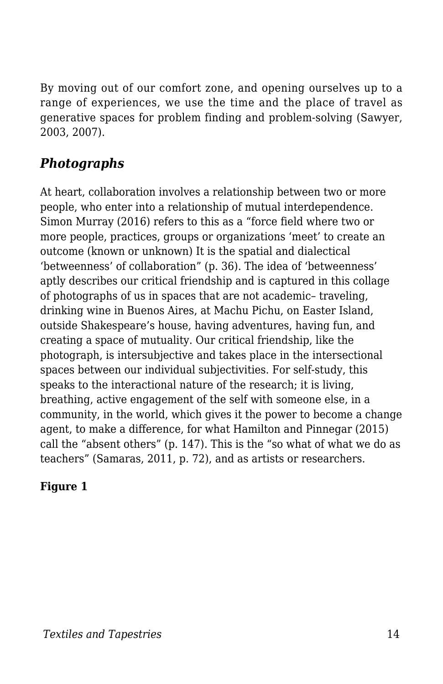By moving out of our comfort zone, and opening ourselves up to a range of experiences, we use the time and the place of travel as generative spaces for problem finding and problem-solving (Sawyer, 2003, 2007).

#### *Photographs*

At heart, collaboration involves a relationship between two or more people, who enter into a relationship of mutual interdependence. Simon Murray (2016) refers to this as a "force field where two or more people, practices, groups or organizations 'meet' to create an outcome (known or unknown) It is the spatial and dialectical 'betweenness' of collaboration" (p. 36). The idea of 'betweenness' aptly describes our critical friendship and is captured in this collage of photographs of us in spaces that are not academic– traveling, drinking wine in Buenos Aires, at Machu Pichu, on Easter Island, outside Shakespeare's house, having adventures, having fun, and creating a space of mutuality. Our critical friendship, like the photograph, is intersubjective and takes place in the intersectional spaces between our individual subjectivities. For self-study, this speaks to the interactional nature of the research; it is living, breathing, active engagement of the self with someone else, in a community, in the world, which gives it the power to become a change agent, to make a difference, for what Hamilton and Pinnegar (2015) call the "absent others" (p. 147). This is the "so what of what we do as teachers" (Samaras, 2011, p. 72), and as artists or researchers.

#### **Figure 1**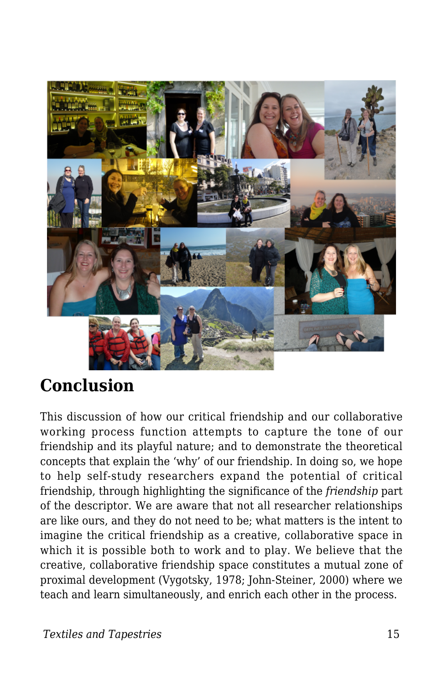

### **Conclusion**

This discussion of how our critical friendship and our collaborative working process function attempts to capture the tone of our friendship and its playful nature; and to demonstrate the theoretical concepts that explain the 'why' of our friendship. In doing so, we hope to help self-study researchers expand the potential of critical friendship, through highlighting the significance of the *friendship* part of the descriptor. We are aware that not all researcher relationships are like ours, and they do not need to be; what matters is the intent to imagine the critical friendship as a creative, collaborative space in which it is possible both to work and to play. We believe that the creative, collaborative friendship space constitutes a mutual zone of proximal development (Vygotsky, 1978; John-Steiner, 2000) where we teach and learn simultaneously, and enrich each other in the process.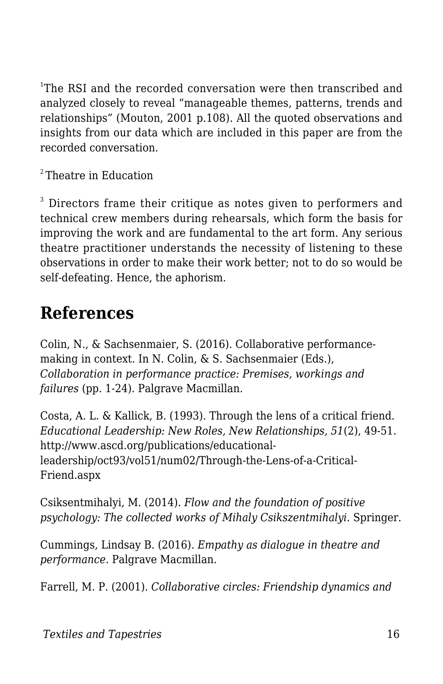<sup>1</sup>The RSI and the recorded conversation were then transcribed and analyzed closely to reveal "manageable themes, patterns, trends and relationships" (Mouton, 2001 p.108). All the quoted observations and insights from our data which are included in this paper are from the recorded conversation.

<sup>2</sup>Theatre in Education

 $3$  Directors frame their critique as notes given to performers and technical crew members during rehearsals, which form the basis for improving the work and are fundamental to the art form. Any serious theatre practitioner understands the necessity of listening to these observations in order to make their work better; not to do so would be self-defeating. Hence, the aphorism.

### **References**

Colin, N., & Sachsenmaier, S. (2016). Collaborative performancemaking in context. In N. Colin, & S. Sachsenmaier (Eds.), *Collaboration in performance practice: Premises, workings and failures* (pp. 1-24). Palgrave Macmillan.

Costa, A. L. & Kallick, B. (1993). Through the lens of a critical friend. *Educational Leadership: New Roles, New Relationships, 51*(2), 49-51. http://www.ascd.org/publications/educationalleadership/oct93/vol51/num02/Through-the-Lens-of-a-Critical-Friend.aspx

Csiksentmihalyi, M. (2014). *Flow and the foundation of positive psychology: The collected works of Mihaly Csikszentmihalyi*. Springer.

Cummings, Lindsay B. (2016). *Empathy as dialogue in theatre and performance*. Palgrave Macmillan.

Farrell, M. P. (2001). *Collaborative circles: Friendship dynamics and*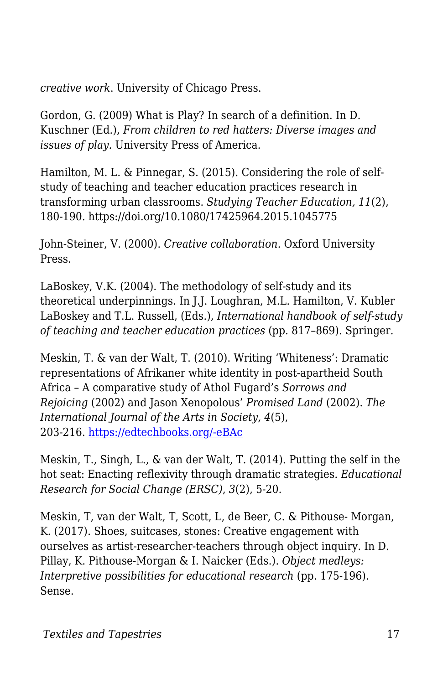*creative work*. University of Chicago Press.

Gordon, G. (2009) What is Play? In search of a definition. In D. Kuschner (Ed.), *From children to red hatters: Diverse images and issues of play.* University Press of America.

Hamilton, M. L. & Pinnegar, S. (2015). Considering the role of selfstudy of teaching and teacher education practices research in transforming urban classrooms. *Studying Teacher Education, 11*(2), 180-190. https://doi.org/10.1080/17425964.2015.1045775

John-Steiner, V. (2000). *Creative collaboration*. Oxford University Press.

LaBoskey, V.K. (2004). The methodology of self-study and its theoretical underpinnings. In J.J. Loughran, M.L. Hamilton, V. Kubler LaBoskey and T.L. Russell, (Eds.), *International handbook of self-study of teaching and teacher education practices* (pp. 817–869). Springer.

Meskin, T. & van der Walt, T. (2010). Writing 'Whiteness': Dramatic representations of Afrikaner white identity in post-apartheid South Africa – A comparative study of Athol Fugard's *Sorrows and Rejoicing* (2002) and Jason Xenopolous' *Promised Land* (2002). *The International Journal of the Arts in Society, 4*(5), 203-216. [https://edtechbooks.org/-eBAc](https://doi.org/10.18848/1833-1866/CGP/v04i05/35730)

Meskin, T., Singh, L., & van der Walt, T. (2014). Putting the self in the hot seat: Enacting reflexivity through dramatic strategies. *Educational Research for Social Change (ERSC)*, *3*(2), 5-20.

Meskin, T, van der Walt, T, Scott, L, de Beer, C. & Pithouse- Morgan, K. (2017). Shoes, suitcases, stones: Creative engagement with ourselves as artist-researcher-teachers through object inquiry. In D. Pillay, K. Pithouse-Morgan & I. Naicker (Eds.). *Object medleys: Interpretive possibilities for educational research* (pp. 175-196). Sense.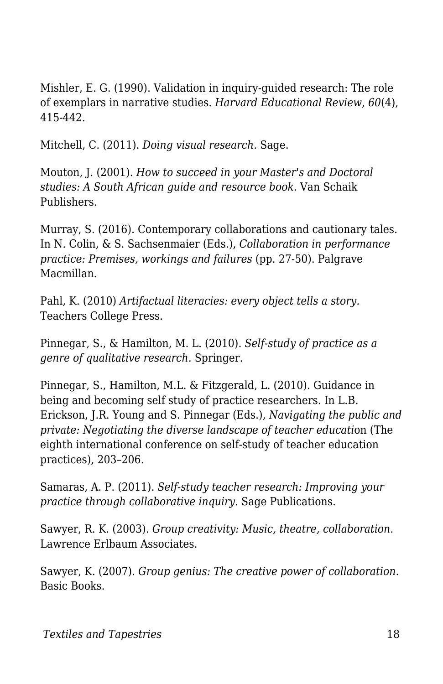Mishler, E. G. (1990). Validation in inquiry-guided research: The role of exemplars in narrative studies. *Harvard Educational Review*, *60*(4), 415-442.

Mitchell, C. (2011). *Doing visual research.* Sage.

Mouton, J. (2001). *How to succeed in your Master's and Doctoral studies: A South African guide and resource book*. Van Schaik Publishers.

Murray, S. (2016). Contemporary collaborations and cautionary tales. In N. Colin, & S. Sachsenmaier (Eds.), *Collaboration in performance practice: Premises, workings and failures* (pp. 27-50). Palgrave Macmillan.

Pahl, K. (2010) *Artifactual literacies: every object tells a story.* Teachers College Press.

Pinnegar, S., & Hamilton, M. L. (2010). *Self-study of practice as a genre of qualitative research*. Springer.

Pinnegar, S., Hamilton, M.L. & Fitzgerald, L. (2010). Guidance in being and becoming self study of practice researchers. In L.B. Erickson, J.R. Young and S. Pinnegar (Eds.), *Navigating the public and private: Negotiating the diverse landscape of teacher educati*on (The eighth international conference on self-study of teacher education practices), 203–206.

Samaras, A. P. (2011). *Self-study teacher research: Improving your practice through collaborative inquiry*. Sage Publications.

Sawyer, R. K. (2003). *Group creativity: Music, theatre, collaboration*. Lawrence Erlbaum Associates.

Sawyer, K. (2007). *Group genius: The creative power of collaboration*. Basic Books.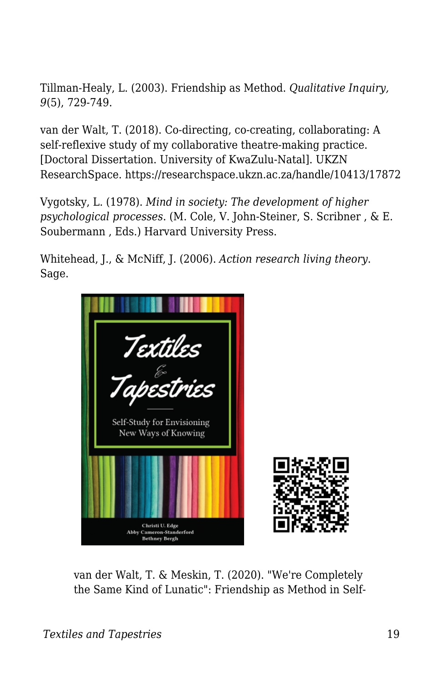Tillman-Healy, L. (2003). Friendship as Method. *Qualitative Inquiry, 9*(5), 729-749.

van der Walt, T. (2018). Co-directing, co-creating, collaborating: A self-reflexive study of my collaborative theatre-making practice. [Doctoral Dissertation. University of KwaZulu-Natal]. UKZN ResearchSpace. https://researchspace.ukzn.ac.za/handle/10413/17872

Vygotsky, L. (1978). *Mind in society: The development of higher psychological processes*. (M. Cole, V. John-Steiner, S. Scribner , & E. Soubermann , Eds.) Harvard University Press.

Whitehead, J., & McNiff, J. (2006). *Action research living theory*. Sage.



van der Walt, T. & Meskin, T. (2020). "We're Completely the Same Kind of Lunatic": Friendship as Method in Self